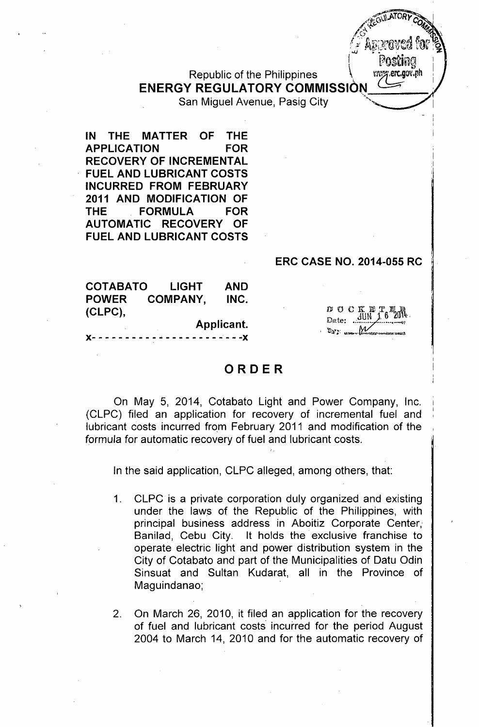Republic of the Philippines  $\mathcal{N}$  ray ext.gov.ph **ENERGY REGULATORY COMMISSION ~**

San Miguel Avenue, Pasig City

**IN THE MATTER OF THE APPLICATION FOR RECOVERY OF INCREMENTAL FUEL AND LUBRICANT COSTS INCURRED FROM FEBRUARY 2011 AND MODIFICATION OF THE FORMULA FOR AUTOMATIC RECOVERY OF FUEL AND LUBRICANT COSTS**

## **ERe CASE NO. 2014-055 RC**

 $D$   $C$   $C$   $K$ Date: UN

M

 $\mathscr{L}(\mathbb{R})$  . The state  $\mathbb{R}$ 

- I I ;

... ",,? .••.0"'..; )  $\sim$   $O_{M_{\rm{H}}}\sim$  $\mathbb{C}^{\mathbb{C}}$  .  $\mathbb{C}^{\mathbb{C}}$  $\sqrt{S}$  ใจรายคพูดตู้ 6 *;'.:i '': ~~11~fl'.r~~J.*AI? ,~ " 1'a,.d\_" ~1J\::i(ll Ub,..- *.• .t.)* **'#.. ••.•**  $\parallel$   $\parallel$  Posting  $\parallel$ 

 $\mathscr{A}_{\mathfrak{a}}$ 

**COTABATO LIGHT AND POWER COMPANY, INC. (CLPC),**

**Applicant. )(- - - - - - - - - - - - - - - - - - -** -' - **- -)(**

## **ORDER**

On May 5, 2014, Cotabato Light and Power Company, Inc. (CLPC) filed an application for recovery of incremental fuel and lubricant costs incurred from February 2011 and modification of the formula for automatic recovery of fuel and lubricant costs.

In the said application, CLPC alleged, among others, that:

- 1. CLPC is a private corporation duly organized and existing under the laws of the Republic of the Philippines, with principal business address in Aboitiz Corporate Center,' Banilad, Cebu City. It holds the exclusive franchise to operate electric light and power distribution system in the City of Cotabato and part of the Municipalities of Datu Odin Sinsuat and Sultan Kudarat, all in the Province of Maguindanao;
- 2. On March 26, 2010, it filed an application for the recovery of fuel and lubricant costs incurred for the period August 2004 to March 14, 2010 and for the automatic recovery of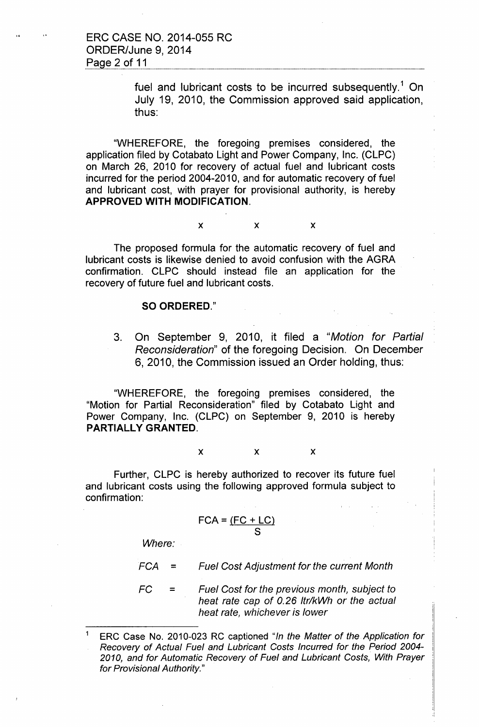ERC CASE NO. 2014-055 RC ORDER/June 9, 2014 Page 2 of 11

> fuel and lubricant costs to be incurred subsequently.<sup>1</sup> On July 19, 2010, the Commission approved said application, thus:

"WHEREFORE, the foregoing premises considered, the application filed by Cotabato Light and Power Company, Inc. (CLPC) on March 26, 2010 for recovery of actual fuel and lubricant costs incurred for the period 2004-2010, and for automatic recovery of fuel and lubricant cost, with prayer for provisional authority, is hereby APPROVED WITH MODIFICATION.

### $x$  x  $x$

The proposed formula for the automatic recovery of fuel and lubricant costs is likewise denied to avoid confusion with the AGRA confirmation. CLPC should instead file an application for the recovery of future fuel and lubricant costs.

### SO ORDERED."

3. On September 9, 2010, it filed a *"Motion for Partial Reconsideration"* of the foregoing Decision. On December 6, 2010, the Commission issued an Order holding, thus:

"WHEREFORE, the foregoing premises considered, the "Motion for Partial Reconsideration" filed by Cotabato Light and Power Company, Inc. (CLPC) on September 9, 2010 is hereby PARTIALLY GRANTED.

### $x$  x  $x$

Further, CLPC is hereby authorized to recover its future fuel and lubricant costs using the following approved formula subject to confirmation:

$$
FCA = \frac{(FC + LC)}{S}
$$

*Where:*

$$
FCA =
$$
 *Full Cost Adjustment for the current Month*

 $FC$ *Fuel Cost for the previous month, subject to heat rate cap of 0.26 Itr/kWh or the actual heat rate, whichever is lower*

<sup>1</sup> ERC Case No. 2010-023 RC captioned *"In the Matter of the Application for Recovery of Actual Fuel and Lubricant Costs Incurred for the Period 2004- 2010, and for Automatic Recovery of Fuel and Lubricant Costs, With Prayer for Provisional Authority."*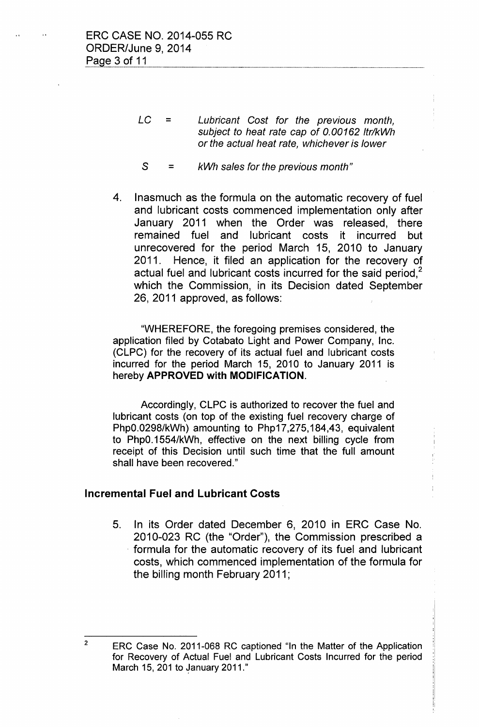- *LC = Lubricant Cost for the previous month, subject to heat rate cap of 0.00162 Itr/kWh or the actual heat rate, whichever is lower*
- $s =$ *kWh sales for the previous month"*
- 4. Inasmuch as the formula on the automatic recovery of fuel and lubricant costs commenced implementation only after January 2011 when the Order was released, there remained fuel and lubricant costs it incurred but unrecovered for the period March 15, 2010 to January 2011. Hence, it filed an application for the recovery of actual fuel and lubricant costs incurred for the said period.<sup>2</sup> which the Commission, in its Decision dated September 26, 2011 approved, as follows:

"WHEREFORE, the foregoing premises considered, the application filed by Cotabato Light and Power Company, Inc. (CLPC) for the recovery of its actual fuel and lubricant costs incurred for the period March 15, 2010 to January 2011 is hereby **APPROVED with MODIFICATION.**

Accordingly, CLPC is authorized to recover the fuel and lubricant costs (on top of the existing fuel recovery charge of PhpO.0298/kWh) amounting to Php17,275,184,43, equivalent to PhpO.1554/kWh, effective on the next billing cycle from receipt of this Decision until such time that the full amount shall have been recovered."

## **Incremental Fuel and Lubricant Costs**

5. In its Order dated December 6, 2010 in ERC Case No. 2010-023 RC (the "Order"), the Commission prescribed a formula for the automatic recovery of its fuel and lubricant costs, which commenced implementation of the formula for the billing month February 2011;

<sup>&</sup>lt;sup>2</sup> ERC Case No. 2011-068 RC captioned "In the Matter of the Application for Recovery of Actual Fuel and Lubricant Costs Incurred for the period March 15, 201 to January 2011."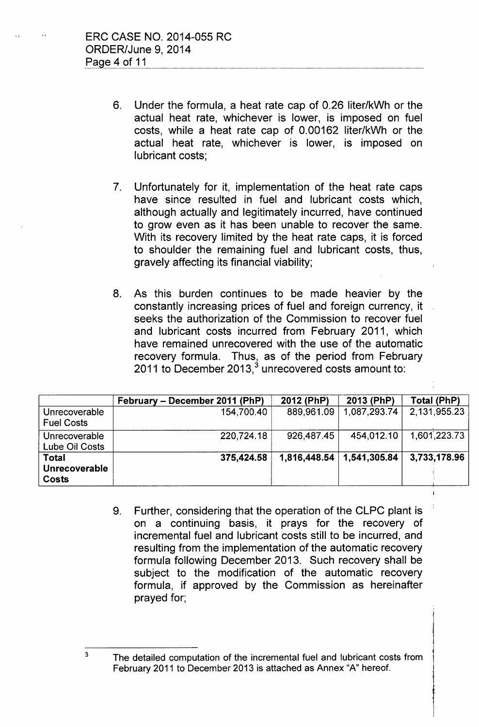- 6. Under the formula, a heat rate cap of 0.26 liter/kWh or the actual heat rate, whichever is lower, is imposed on fuel costs, while a heat rate cap of 0.00162 liter/kWh or the actual heat rate, whichever is lower, is imposed on lubricant costs;
- 7. Unfortunately for it, implementation of the heat rate caps have since resulted in fuel and lubricant costs which, although actually and legitimately incurred, have continued to grow even as it has been unable to recover the same. With its recovery limited by the heat rate caps, it is forced to shoulder the remaining fuel and lubricant costs, thus, gravely affecting its financial viability;
- 8. As this burden continues to be made heavier by the constantly increasing prices of fuel and foreign currency, it seeks the authorization of the Commission to recover fuel and lubricant costs incurred from February 2011, which have remained unrecovered with the use of the automatic recovery formula. Thus, as of the period from February 2011 to December 2013, $^{\rm 3}$  unrecovered costs amount to:

|                                        | February – December 2011 (PhP) | 2012 (PhP) | 2013 (PhP)                       | Total (PhP)  |
|----------------------------------------|--------------------------------|------------|----------------------------------|--------------|
| Unrecoverable<br><b>Fuel Costs</b>     | 154,700.40                     | 889,961.09 | 1,087,293.74                     | 2,131,955.23 |
| Unrecoverable<br>Lube Oil Costs        | 220,724.18                     | 926,487.45 | 454.012.10                       | 1,601,223.73 |
| <b>Total</b><br>Unrecoverable<br>Costs | 375,424.58                     |            | $1,816,448.54 \mid 1,541,305.84$ | 3,733,178.96 |

9. Further, considering that the operation of the CLPC plant is on a continuing basis, it prays for the recovery of incremental fuel and lubricant costs still to be incurred, and resulting from the implementation of the automatic recovery formula following December 2013. Such recovery shall be subject to the modification of the automatic recovery formula, if approved by the Commission as hereinafter prayed for;

3

The detailed computation of the incremental fuel and lubricant costs from February 2011 to December 2013 is attached as Annex "A" hereof.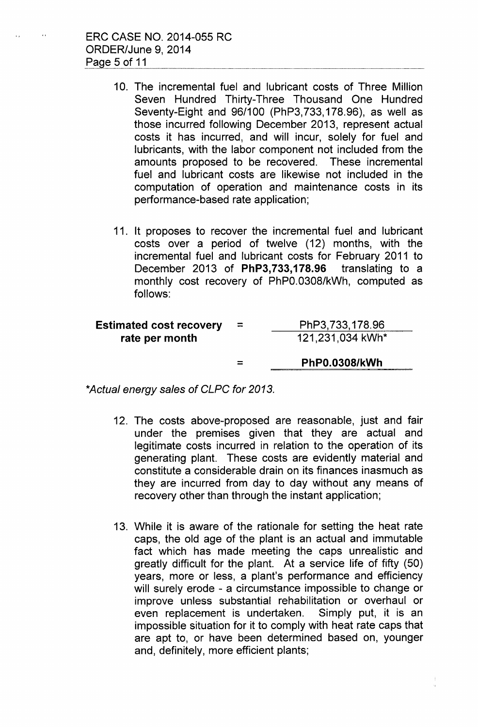$\sim$ 

 $\ddot{\phantom{a}}$ 

- 10. The incremental fuel and lubricant costs of Three Million Seven Hundred Thirty-Three Thousand One Hundred Seventy-Eight and 96/100 (PhP3, 733,178.96), as well as those incurred following December 2013, represent actual costs it has incurred, and will incur, solely for fuel and lubricants, with the labor component not included from the amounts proposed to be recovered. These incremental fuel and lubricant costs are likewise not included in the computation of operation and maintenance costs in its performance-based rate application;
- 11. It proposes to recover the incremental fuel and lubricant costs over a period of twelve (12) months, with the incremental fuel and lubricant costs for February 2011 to December 2013 of **PhP3, 733,178.96** translating to a monthly cost recovery of PhPO.0308/kWh, computed as follows:

| <b>Estimated cost recovery</b><br>rate per month | $\equiv$ | PhP3,733,178.96<br>121,231,034 kWh* |
|--------------------------------------------------|----------|-------------------------------------|
|                                                  | =        | <b>PhP0.0308/kWh</b>                |

*\*Actual energy sales* of *CLPC for 2013.*

- 12. The costs above-proposed are reasonable, just and fair under the premises given that they are actual and legitimate costs incurred in relation to the operation of its generating plant. These costs are evidently material and constitute a considerable drain on its finances inasmuch as they are incurred from day to day without any means of recovery other than through the instant application;
- 13. While it is aware of the rationale for setting the heat rate caps, the old age of the plant is an actual and immutable fact which has made meeting the caps unrealistic and greatly difficult for the plant. At a service life of fifty (50) years, more or less, a plant's performance and efficiency will surely erode - a circumstance impossible to change or improve unless substantial rehabilitation or overhaul or even replacement is undertaken. Simply put, it is an impossible situation for it to comply with heat rate caps that are apt to, or have been determined based on, younger and, definitely, more efficient plants;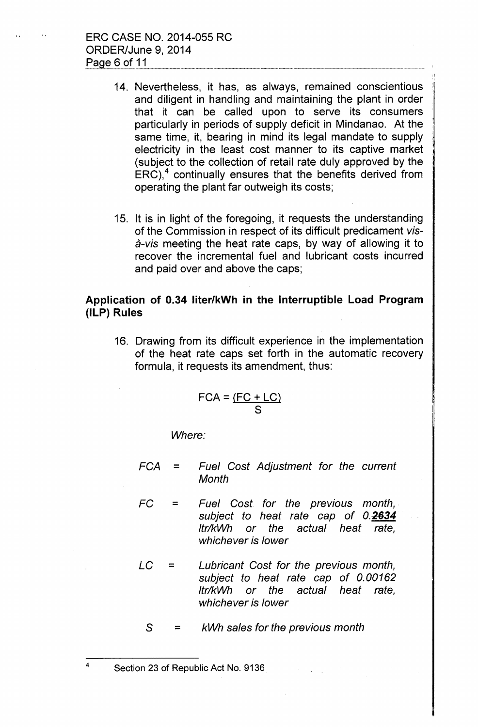- 14. Nevertheless, it has, as always, remained conscientious and diligent in handling and maintaining the plant in order that it can be called upon to serve its consumers particularly in periods of supply deficit in Mindanao. At the same time, it, bearing in mind its legal mandate to supply electricity in the least cost manner to its captive market (subject to the collection of retail rate duly approved by the  $ERC$ ),<sup>4</sup> continually ensures that the benefits derived from operating the plant far outweigh its costs;
- 15. It is in light of the foregoing, it requests the understanding of the Commission in respect of its difficult predicament *visa-vis* meeting the heat rate caps, by way of allowing it to recover the incremental fuel and lubricant costs incurred and paid over and above the caps;

# **Application of 0.34 liter/kWh in the Interruptible Load Program (ILP) Rules**

16. Drawing from its difficult experience in the implementation of the heat rate caps set forth in the automatic recovery formula, it requests its amendment, thus:

$$
FCA = \frac{(FC + LC)}{S}
$$

*Where:*

- *FCA* = *Fuel Cost Adjustment for the current Month*
- *FC* = *Fuel Cost for the previous month*, *subject to heat rate cap* of *0.-2634 Itr/kWh or the actual heat rate, whichever is lower*
- *LC* = *Lubricant Cost for the previous month, subject to heat rate cap* of *0.00162 Itr/kWh or the actual heat rate, whichever is lower*

S = *kWh sales for the previous month*

Section 23 of Republic Act No. 9136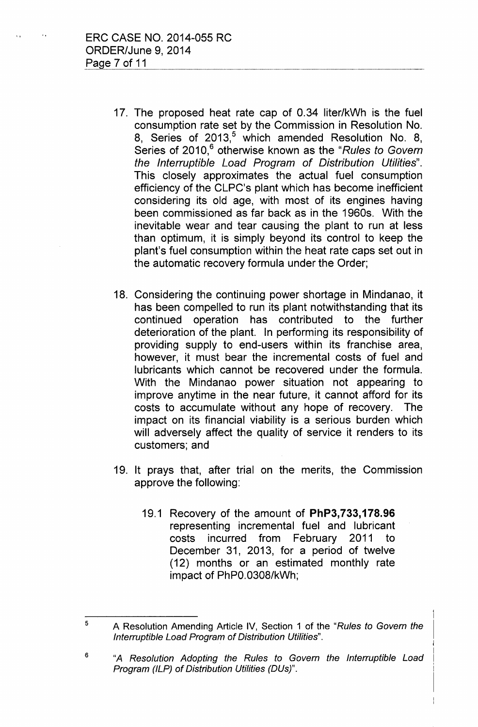- 17. The proposed heat rate cap of 0.34 liter/kWh is the fuel consumption rate set by the Commission in Resolution No. 8, Series of 2013,<sup>5</sup> which amended Resolution No. 8, Series of 2010,<sup>6</sup> otherwise known as the "Rules to Govern *the Interruptible Load Program of Distribution Utilities".* This closely approximates the actual fuel consumption efficiency of the CLPC's plant which has become inefficient considering its old age, with most of its engines having been commissioned as far back as in the 1960s. With the inevitable wear and tear causing the plant to run at less than optimum, it is simply beyond its control to keep the plant's fuel consumption within the heat rate caps set out in the automatic recovery formula under the Order;
- 18. Considering the continuing power shortage in Mindanao, it has been compelled to run its plant notwithstanding that its continued operation has contributed to the further deterioration of the plant. In performing its responsibility of providing supply to end-users within its franchise area, however, it must bear the incremental costs of fuel and lubricants which cannot be recovered under the formula. With the Mindanao power situation not appearing to improve anytime in the near future, it cannot afford for its costs to accumulate without any hope of recovery. The impact on its financial viability is a serious burden which will adversely affect the quality of service it renders to its customers; and
- 19. It prays that, after trial on the merits, the Commission approve the following:
	- 19.1 Recovery of the amount of **PhP3, 733,178.96** representing incremental fuel and lubricant costs incurred from February 2011 to December 31, 2013, for a period of twelve (12) months or an estimated monthly rate impact of PhPO.0308/kWh;

<sup>5</sup> A Resolution Amending Article IV, Section 1 of the *"Rules to Govern the Interruptible Load Program of Distribution Utilities".*

<sup>6</sup> *"A Resolution Adopting the Rules to Govern the Interruptible Load Program (ILP) of Distribution Utilities (DUs)".*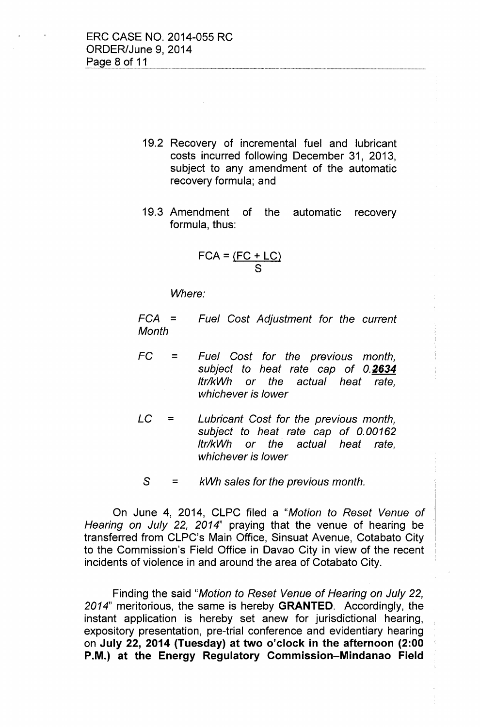- 19.2 Recovery of incremental fuel and lubricant costs incurred following December 31, 2013, subject to any amendment of the automatic recovery formula; and
- 19.3 Amendment of the automatic recovery formula, thus:

$$
FCA = \frac{(FC + LC)}{S}
$$

*Where:*

*FCA = Month Fuel Cost Adjustment for the current*

- *FC = Fuel Cost for the previous month, subject to heat rate cap* of *0.2634 Itr/kWh or the actual heat rate, whichever is lower*
- *LC = Lubricant Cost for the previous month, subject to heat rate cap* of *0.00162 Itr/kWh or the actual heat rate, whichever is lower*
- $S =$ *kWh* sales *for the previous month.*

On June 4, 2014, CLPC filed a *"Motion to Reset Venue* of *Hearing on July* 22, *2014"* praying that the venue of hearing be transferred from CLPC's Main Office, Sinsuat Avenue, Cotabato City to the Commission's Field Office in Davao City in view of the recent incidents of violence in and around the area of Cotabato City.

Finding the said *"Motion to Reset Venue* of *Hearing on July 22, 2014"* meritorious, the same is hereby **GRANTED.** Accordingly, the instant application is hereby set anew for jurisdictional hearing, expository presentation, pre-trial conference and evidentiary hearing on **July 22, 2014 (Tuesday) at two o'clock in the afternoon (2:00 P.M.) at the Energy Regulatory Commission-Mindanao Field**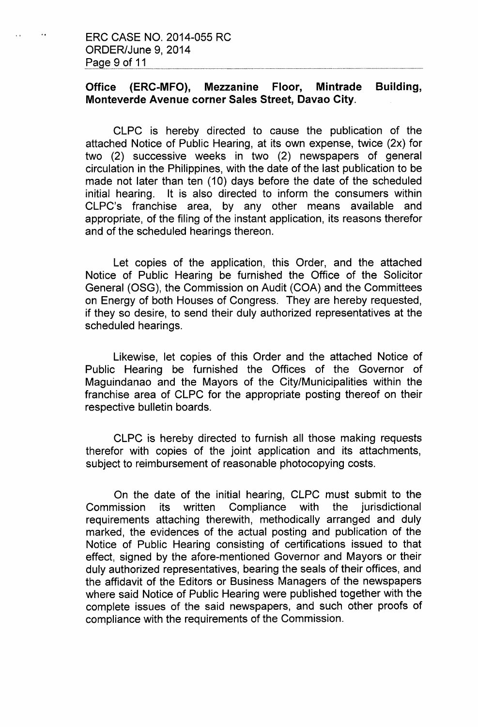$\mathbf{v}$ 

# **Office (ERC-MFO), Mezzanine Floor, Mintrade Building, Monteverde Avenue corner Sales Street, Davao** City.

CLPC is hereby directed to cause the publication of the attached Notice of Public Hearing, at its own expense, twice (2x) for two (2) successive weeks in two (2) newspapers of general circulation in the Philippines, with the date of the last publication to be made not later than ten (10) days before the date of the scheduled initial hearing. It is also directed to inform the consumers within CLPC's franchise area, by any other means available and appropriate, of the filing of the instant application, its reasons therefor and of the scheduled hearings thereon.

Let copies of the application, this Order, and the attached Notice of Public Hearing be furnished the Office of the Solicitor General (OSG), the Commission on Audit (COA) and the Committees on Energy of both Houses of Congress. They are hereby requested, if they so desire, to send their duly authorized representatives at the scheduled hearings.

Likewise, let copies of this Order and the attached Notice of Public Hearing be furnished the Offices of the Governor of Maguindanao and the Mayors of the City/Municipalities within the franchise area of CLPC for the appropriate posting thereof on their respective bulletin boards.

CLPC is hereby directed to furnish all those making requests therefor with copies of the joint application and its attachments, subject to reimbursement of reasonable photocopying costs.

On the date of the initial hearing, CLPC must submit to the Commission its written Compliance with the jurisdictional requirements attaching therewith, methodically arranged and duly marked, the evidences of the actual posting and publication of the Notice of Public Hearing consisting of certifications issued to that effect, signed by the afore-mentioned Governor and Mayors or their duly authorized representatives, bearing the seals of their offices, and the affidavit of the Editors or Business Managers of the newspapers where said Notice of Public Hearing were published together with the complete issues of the said newspapers, and such other proofs of compliance with the requirements of the Commission.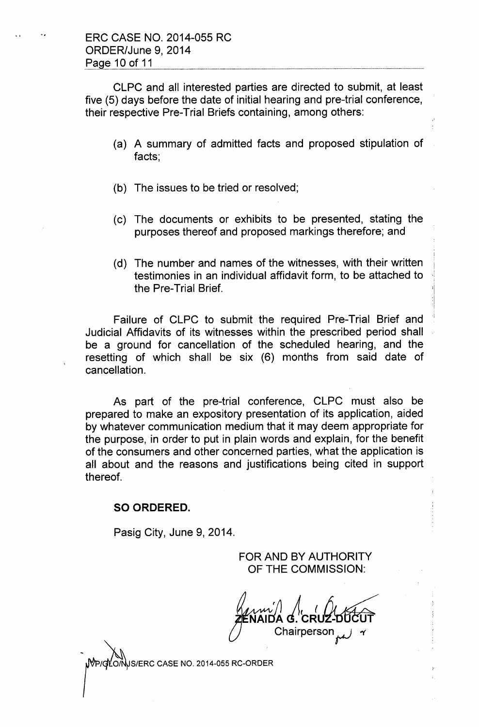CLPC and all interested parties are directed to submit, at least five (5) days before the date of initial hearing and pre-trial conference, their respective Pre-Trial Briefs containing, among others:

- (a) A summary of admitted facts and proposed stipulation of facts;
- (b) The issues to be tried or resolved;
- (c) The documents or exhibits to be presented, stating the purposes thereof and proposed markings therefore; and
- (d) The number and names of the witnesses, with their written testimonies in an individual affidavit form, to be attached to the Pre-Trial Brief.

Failure of CLPC to submit the required Pre-Trial Brief and' Judicial Affidavits of its witnesses within the prescribed period shall be a ground for cancellation of the scheduled hearing, and the resetting of which shall be six (6) months from said date of cancellation.

As part of the pre-trial conference, CLPC must also be prepared to make an expository presentation of its application, aided by whatever communication medium that it may deem appropriate for the purpose, in order to put in plain words and explain, for the benefit of the consumers and other concerned parties, what the application is all about and the reasons and justifications being cited in support thereof.

### **SO ORDERED.**

Pasig City, June 9, 2014.

FOR AND BY AUTHORITY OF THE COMMISSION:

 $\begin{matrix} \mathcal{U} & \mathcal{U} & \mathcal{U} & \mathcal{U} & \mathcal{U} & \mathcal{U} & \mathcal{U} & \mathcal{U} & \mathcal{U} & \mathcal{U} & \mathcal{U} & \mathcal{U} & \mathcal{U} & \mathcal{U} & \mathcal{U} & \mathcal{U} & \mathcal{U} & \mathcal{U} & \mathcal{U} & \mathcal{U} & \mathcal{U} & \mathcal{U} & \mathcal{U} & \mathcal{U} & \mathcal{U} & \mathcal{U} & \mathcal{U} & \mathcal{U} & \mathcal{U} & \mathcal{U} & \mathcal{U}$  $Chairperson$ 

**JS/ERC CASE NO. 2014-055 RC-ORDER**